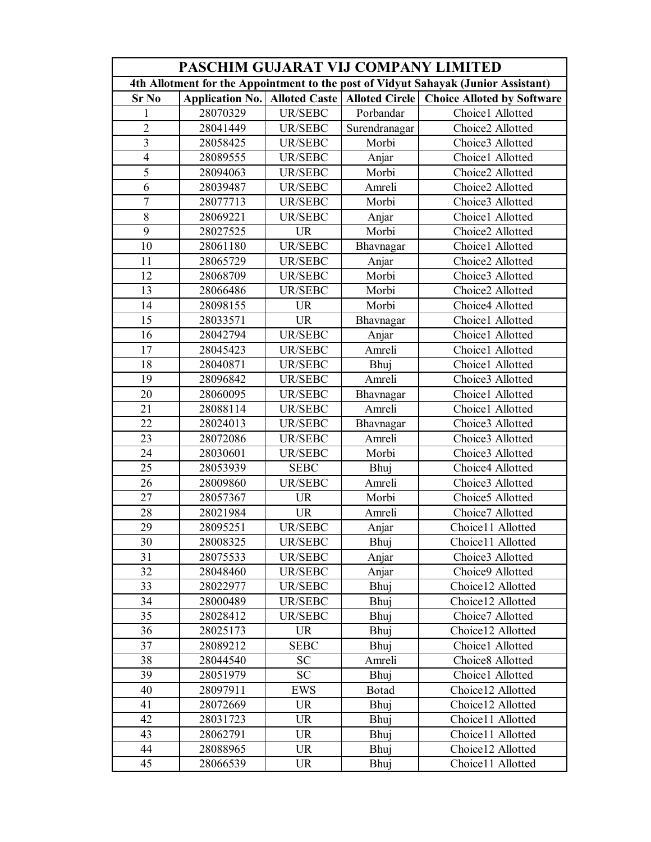| PASCHIM GUJARAT VIJ COMPANY LIMITED                                                |                        |                |                                         |                                   |  |  |  |
|------------------------------------------------------------------------------------|------------------------|----------------|-----------------------------------------|-----------------------------------|--|--|--|
| 4th Allotment for the Appointment to the post of Vidyut Sahayak (Junior Assistant) |                        |                |                                         |                                   |  |  |  |
| <b>Sr No</b>                                                                       | <b>Application No.</b> |                | <b>Alloted Caste   Alloted Circle  </b> | <b>Choice Alloted by Software</b> |  |  |  |
| 1                                                                                  | 28070329               | <b>UR/SEBC</b> | Porbandar                               | Choice1 Allotted                  |  |  |  |
| $\overline{2}$                                                                     | 28041449               | <b>UR/SEBC</b> | Surendranagar                           | Choice2 Allotted                  |  |  |  |
| $\overline{3}$                                                                     | 28058425               | UR/SEBC        | Morbi                                   | Choice3 Allotted                  |  |  |  |
| $\overline{4}$                                                                     | 28089555               | UR/SEBC        | Anjar                                   | Choice1 Allotted                  |  |  |  |
| 5                                                                                  | 28094063               | <b>UR/SEBC</b> | Morbi                                   | Choice2 Allotted                  |  |  |  |
| $\overline{6}$                                                                     | 28039487               | <b>UR/SEBC</b> | Amreli                                  | Choice2 Allotted                  |  |  |  |
| $\overline{7}$                                                                     | 28077713               | <b>UR/SEBC</b> | Morbi                                   | Choice3 Allotted                  |  |  |  |
| 8                                                                                  | 28069221               | <b>UR/SEBC</b> | Anjar                                   | Choice1 Allotted                  |  |  |  |
| 9                                                                                  | 28027525               | <b>UR</b>      | Morbi                                   | Choice2 Allotted                  |  |  |  |
| 10                                                                                 | 28061180               | <b>UR/SEBC</b> | Bhavnagar                               | Choice1 Allotted                  |  |  |  |
| 11                                                                                 | 28065729               | <b>UR/SEBC</b> | Anjar                                   | Choice2 Allotted                  |  |  |  |
| 12                                                                                 | 28068709               | <b>UR/SEBC</b> | Morbi                                   | Choice3 Allotted                  |  |  |  |
| 13                                                                                 | 28066486               | <b>UR/SEBC</b> | Morbi                                   | Choice2 Allotted                  |  |  |  |
| 14                                                                                 | 28098155               | <b>UR</b>      | Morbi                                   | Choice4 Allotted                  |  |  |  |
| 15                                                                                 | 28033571               | <b>UR</b>      | Bhavnagar                               | Choice1 Allotted                  |  |  |  |
| 16                                                                                 | 28042794               | <b>UR/SEBC</b> | Anjar                                   | Choice1 Allotted                  |  |  |  |
| $\overline{17}$                                                                    | 28045423               | UR/SEBC        | Amreli                                  | Choice1 Allotted                  |  |  |  |
| $\overline{18}$                                                                    | 28040871               | <b>UR/SEBC</b> | Bhuj                                    | Choice1 Allotted                  |  |  |  |
| 19                                                                                 | 28096842               | <b>UR/SEBC</b> | Amreli                                  | Choice3 Allotted                  |  |  |  |
| 20                                                                                 | 28060095               | <b>UR/SEBC</b> | Bhavnagar                               | Choice1 Allotted                  |  |  |  |
| 21                                                                                 | 28088114               | <b>UR/SEBC</b> | Amreli                                  | Choice1 Allotted                  |  |  |  |
| 22                                                                                 | 28024013               | <b>UR/SEBC</b> | Bhavnagar                               | Choice3 Allotted                  |  |  |  |
| 23                                                                                 | 28072086               | UR/SEBC        | Amreli                                  | Choice3 Allotted                  |  |  |  |
| 24                                                                                 | 28030601               | <b>UR/SEBC</b> | Morbi                                   | Choice3 Allotted                  |  |  |  |
| 25                                                                                 | 28053939               | <b>SEBC</b>    | Bhuj                                    | Choice4 Allotted                  |  |  |  |
| 26                                                                                 | 28009860               | UR/SEBC        | Amreli                                  | Choice3 Allotted                  |  |  |  |
| 27                                                                                 | 28057367               | <b>UR</b>      | Morbi                                   | Choice5 Allotted                  |  |  |  |
| 28                                                                                 | 28021984               | <b>UR</b>      | Amreli                                  | Choice7 Allotted                  |  |  |  |
| $\overline{29}$                                                                    | 28095251               | <b>UR/SEBC</b> | Anjar                                   | Choice11 Allotted                 |  |  |  |
| 30                                                                                 | 28008325               | UR/SEBC        | Bhuj                                    | Choice11 Allotted                 |  |  |  |
| 31                                                                                 | 28075533               | UR/SEBC        | Anjar                                   | Choice3 Allotted                  |  |  |  |
| 32                                                                                 | 28048460               | UR/SEBC        | Anjar                                   | Choice9 Allotted                  |  |  |  |
| 33                                                                                 | 28022977               | UR/SEBC        | Bhuj                                    | Choice12 Allotted                 |  |  |  |
| 34                                                                                 | 28000489               | UR/SEBC        | Bhuj                                    | Choice12 Allotted                 |  |  |  |
| 35                                                                                 | 28028412               | <b>UR/SEBC</b> | Bhuj                                    | Choice7 Allotted                  |  |  |  |
| 36                                                                                 | 28025173               | <b>UR</b>      | Bhuj                                    | Choice12 Allotted                 |  |  |  |
| 37                                                                                 | 28089212               | <b>SEBC</b>    | Bhuj                                    | Choice1 Allotted                  |  |  |  |
| 38                                                                                 | 28044540               | <b>SC</b>      | Amreli                                  | Choice8 Allotted                  |  |  |  |
| 39                                                                                 | 28051979               | <b>SC</b>      | Bhuj                                    | Choice1 Allotted                  |  |  |  |
| 40                                                                                 | 28097911               | <b>EWS</b>     | Botad                                   | Choice12 Allotted                 |  |  |  |
| 41                                                                                 | 28072669               | <b>UR</b>      | Bhuj                                    | Choice12 Allotted                 |  |  |  |
| 42                                                                                 | 28031723               | <b>UR</b>      | Bhuj                                    | Choice11 Allotted                 |  |  |  |
| 43                                                                                 | 28062791               | <b>UR</b>      | Bhuj                                    | Choice11 Allotted                 |  |  |  |
| 44                                                                                 | 28088965               | <b>UR</b>      | Bhuj                                    | Choice12 Allotted                 |  |  |  |
| 45                                                                                 | 28066539               | <b>UR</b>      | Bhuj                                    | Choice11 Allotted                 |  |  |  |